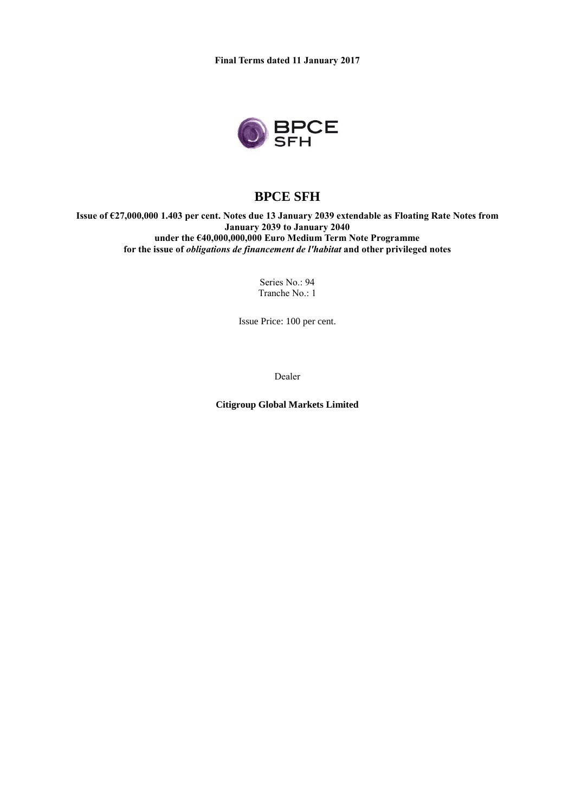

# **BPCE SFH**

**Issue of €27,000,000 1.403 per cent. Notes due 13 January 2039 extendable as Floating Rate Notes from January 2039 to January 2040 under the €40,000,000,000 Euro Medium Term Note Programme for the issue of** *obligations de financement de l'habitat* **and other privileged notes**

> Series No.: 94 Tranche No.: 1

Issue Price: 100 per cent.

Dealer

**Citigroup Global Markets Limited**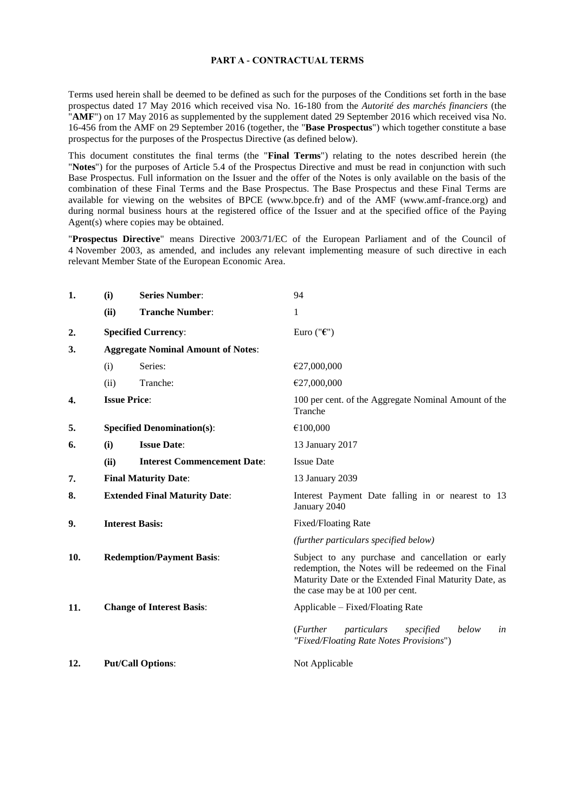#### **PART A - CONTRACTUAL TERMS**

Terms used herein shall be deemed to be defined as such for the purposes of the Conditions set forth in the base prospectus dated 17 May 2016 which received visa No. 16-180 from the *Autorité des marchés financiers* (the "**AMF**") on 17 May 2016 as supplemented by the supplement dated 29 September 2016 which received visa No. 16-456 from the AMF on 29 September 2016 (together, the "**Base Prospectus**") which together constitute a base prospectus for the purposes of the Prospectus Directive (as defined below).

This document constitutes the final terms (the "**Final Terms**") relating to the notes described herein (the "**Notes**") for the purposes of Article 5.4 of the Prospectus Directive and must be read in conjunction with such Base Prospectus. Full information on the Issuer and the offer of the Notes is only available on the basis of the combination of these Final Terms and the Base Prospectus. The Base Prospectus and these Final Terms are available for viewing on the websites of BPCE (www.bpce.fr) and of the AMF (www.amf-france.org) and during normal business hours at the registered office of the Issuer and at the specified office of the Paying Agent(s) where copies may be obtained.

"**Prospectus Directive**" means Directive 2003/71/EC of the European Parliament and of the Council of 4 November 2003, as amended, and includes any relevant implementing measure of such directive in each relevant Member State of the European Economic Area.

| 1.  | (i)                                       | <b>Series Number:</b>              | 94                                                                                                                                                                                                    |
|-----|-------------------------------------------|------------------------------------|-------------------------------------------------------------------------------------------------------------------------------------------------------------------------------------------------------|
|     | (ii)                                      | <b>Tranche Number:</b>             | 1                                                                                                                                                                                                     |
| 2.  |                                           | <b>Specified Currency:</b>         | Euro (" $\epsilon$ ")                                                                                                                                                                                 |
| 3.  | <b>Aggregate Nominal Amount of Notes:</b> |                                    |                                                                                                                                                                                                       |
|     | (i)                                       | Series:                            | €27,000,000                                                                                                                                                                                           |
|     | (ii)                                      | Tranche:                           | €27,000,000                                                                                                                                                                                           |
| 4.  |                                           | <b>Issue Price:</b>                | 100 per cent. of the Aggregate Nominal Amount of the<br>Tranche                                                                                                                                       |
| 5.  |                                           | <b>Specified Denomination(s):</b>  | €100,000                                                                                                                                                                                              |
| 6.  | (i)                                       | <b>Issue Date:</b>                 | 13 January 2017                                                                                                                                                                                       |
|     | (ii)                                      | <b>Interest Commencement Date:</b> | <b>Issue Date</b>                                                                                                                                                                                     |
| 7.  | <b>Final Maturity Date:</b>               |                                    | 13 January 2039                                                                                                                                                                                       |
| 8.  | <b>Extended Final Maturity Date:</b>      |                                    | Interest Payment Date falling in or nearest to 13<br>January 2040                                                                                                                                     |
| 9.  | <b>Interest Basis:</b>                    |                                    | <b>Fixed/Floating Rate</b>                                                                                                                                                                            |
|     |                                           |                                    | (further particulars specified below)                                                                                                                                                                 |
| 10. | <b>Redemption/Payment Basis:</b>          |                                    | Subject to any purchase and cancellation or early<br>redemption, the Notes will be redeemed on the Final<br>Maturity Date or the Extended Final Maturity Date, as<br>the case may be at 100 per cent. |
| 11. |                                           | <b>Change of Interest Basis:</b>   | Applicable – Fixed/Floating Rate                                                                                                                                                                      |
|     |                                           |                                    | ( <i>Further</i><br>particulars<br>below<br>specified<br>in<br>"Fixed/Floating Rate Notes Provisions")                                                                                                |
| 12. |                                           | <b>Put/Call Options:</b>           | Not Applicable                                                                                                                                                                                        |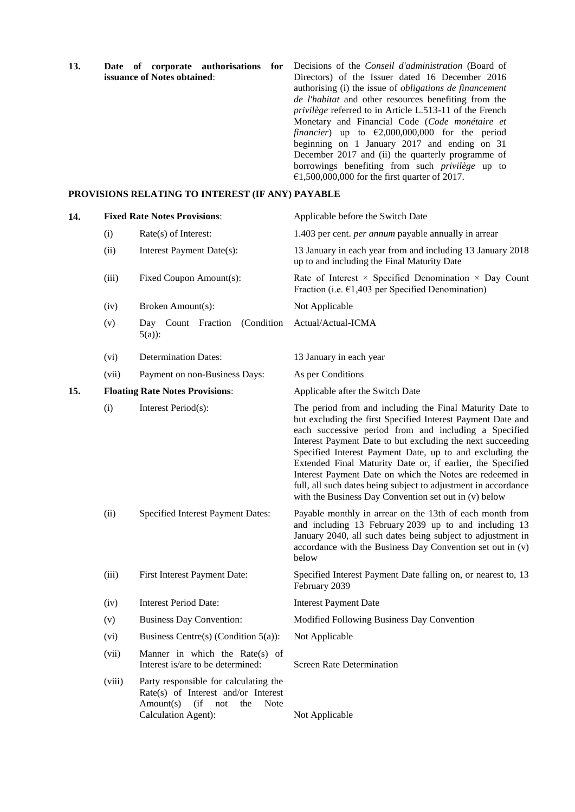**13. Date of corporate authorisations for issuance of Notes obtained**: Decisions of the *Conseil d'administration* (Board of Directors) of the Issuer dated 16 December 2016 authorising (i) the issue of *obligations de financement de l'habitat* and other resources benefiting from the *privilège* referred to in Article L.513-11 of the French Monetary and Financial Code (*Code monétaire et financier*) up to  $\epsilon$ 2,000,000,000 for the period beginning on 1 January 2017 and ending on 31 December 2017 and (ii) the quarterly programme of borrowings benefiting from such *privilège* up to €1,500,000,000 for the first quarter of 2017.

### **PROVISIONS RELATING TO INTEREST (IF ANY) PAYABLE**

| 14. |        | <b>Fixed Rate Notes Provisions:</b>                                                                                                          | Applicable before the Switch Date                                                                                                                                                                                                                                                                                                                                                                                                                                                                                                                               |
|-----|--------|----------------------------------------------------------------------------------------------------------------------------------------------|-----------------------------------------------------------------------------------------------------------------------------------------------------------------------------------------------------------------------------------------------------------------------------------------------------------------------------------------------------------------------------------------------------------------------------------------------------------------------------------------------------------------------------------------------------------------|
|     | (i)    | Rate(s) of Interest:                                                                                                                         | 1.403 per cent. <i>per annum</i> payable annually in arrear                                                                                                                                                                                                                                                                                                                                                                                                                                                                                                     |
|     | (ii)   | Interest Payment Date(s):                                                                                                                    | 13 January in each year from and including 13 January 2018<br>up to and including the Final Maturity Date                                                                                                                                                                                                                                                                                                                                                                                                                                                       |
|     | (iii)  | Fixed Coupon Amount(s):                                                                                                                      | Rate of Interest $\times$ Specified Denomination $\times$ Day Count<br>Fraction (i.e. $\epsilon$ 1,403 per Specified Denomination)                                                                                                                                                                                                                                                                                                                                                                                                                              |
|     | (iv)   | Broken Amount(s):                                                                                                                            | Not Applicable                                                                                                                                                                                                                                                                                                                                                                                                                                                                                                                                                  |
|     | (v)    | (Condition)<br>Day Count Fraction<br>$5(a)$ :                                                                                                | Actual/Actual-ICMA                                                                                                                                                                                                                                                                                                                                                                                                                                                                                                                                              |
|     | (vi)   | <b>Determination Dates:</b>                                                                                                                  | 13 January in each year                                                                                                                                                                                                                                                                                                                                                                                                                                                                                                                                         |
|     | (vii)  | Payment on non-Business Days:                                                                                                                | As per Conditions                                                                                                                                                                                                                                                                                                                                                                                                                                                                                                                                               |
| 15. |        | <b>Floating Rate Notes Provisions:</b>                                                                                                       | Applicable after the Switch Date                                                                                                                                                                                                                                                                                                                                                                                                                                                                                                                                |
|     | (i)    | Interest Period(s):                                                                                                                          | The period from and including the Final Maturity Date to<br>but excluding the first Specified Interest Payment Date and<br>each successive period from and including a Specified<br>Interest Payment Date to but excluding the next succeeding<br>Specified Interest Payment Date, up to and excluding the<br>Extended Final Maturity Date or, if earlier, the Specified<br>Interest Payment Date on which the Notes are redeemed in<br>full, all such dates being subject to adjustment in accordance<br>with the Business Day Convention set out in (v) below |
|     | (ii)   | Specified Interest Payment Dates:                                                                                                            | Payable monthly in arrear on the 13th of each month from<br>and including 13 February 2039 up to and including 13<br>January 2040, all such dates being subject to adjustment in<br>accordance with the Business Day Convention set out in (v)<br>below                                                                                                                                                                                                                                                                                                         |
|     | (iii)  | First Interest Payment Date:                                                                                                                 | Specified Interest Payment Date falling on, or nearest to, 13<br>February 2039                                                                                                                                                                                                                                                                                                                                                                                                                                                                                  |
|     | (iv)   | <b>Interest Period Date:</b>                                                                                                                 | <b>Interest Payment Date</b>                                                                                                                                                                                                                                                                                                                                                                                                                                                                                                                                    |
|     | (v)    | <b>Business Day Convention:</b>                                                                                                              | Modified Following Business Day Convention                                                                                                                                                                                                                                                                                                                                                                                                                                                                                                                      |
|     | (vi)   | Business Centre(s) (Condition $5(a)$ ):                                                                                                      | Not Applicable                                                                                                                                                                                                                                                                                                                                                                                                                                                                                                                                                  |
|     | (vii)  | Manner in which the Rate(s) of<br>Interest is/are to be determined:                                                                          | <b>Screen Rate Determination</b>                                                                                                                                                                                                                                                                                                                                                                                                                                                                                                                                |
|     | (viii) | Party responsible for calculating the<br>Rate(s) of Interest and/or Interest<br>$Amount(s)$ (if<br>Note<br>not<br>the<br>Calculation Agent): | Not Applicable                                                                                                                                                                                                                                                                                                                                                                                                                                                                                                                                                  |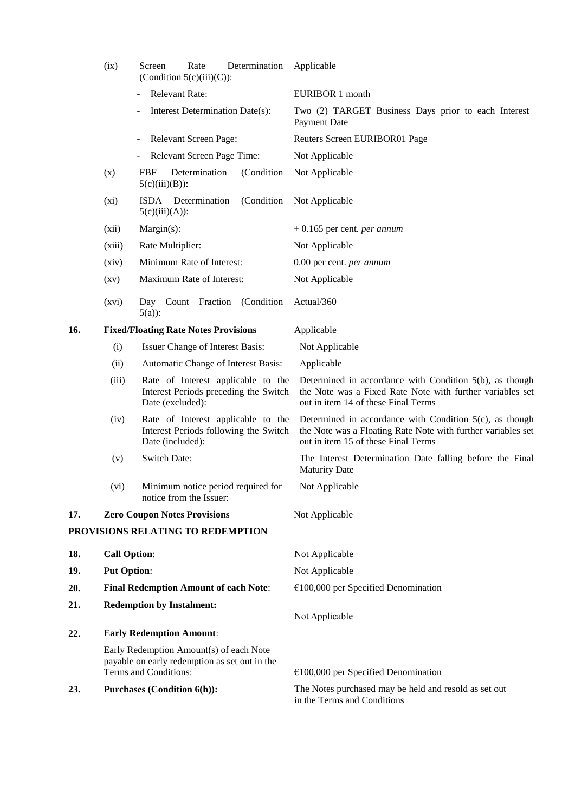|     | (ix)                                         | Rate<br>Determination<br>Screen<br>(Condition $5(c)(iii)(C)$ ):                                                   | Applicable                                                                                                                                                        |
|-----|----------------------------------------------|-------------------------------------------------------------------------------------------------------------------|-------------------------------------------------------------------------------------------------------------------------------------------------------------------|
|     |                                              | <b>Relevant Rate:</b>                                                                                             | EURIBOR 1 month                                                                                                                                                   |
|     |                                              | Interest Determination Date(s):                                                                                   | Two (2) TARGET Business Days prior to each Interest<br><b>Payment Date</b>                                                                                        |
|     |                                              | Relevant Screen Page:                                                                                             | Reuters Screen EURIBOR01 Page                                                                                                                                     |
|     |                                              | Relevant Screen Page Time:                                                                                        | Not Applicable                                                                                                                                                    |
|     | (x)                                          | Determination<br>(Condition<br><b>FBF</b><br>$5(c)(iii)(B))$ :                                                    | Not Applicable                                                                                                                                                    |
|     | (xi)                                         | (Condition)<br>ISDA Determination<br>$5(c)(iii)(A))$ :                                                            | Not Applicable                                                                                                                                                    |
|     | (xii)                                        | Margin(s):                                                                                                        | $+0.165$ per cent. <i>per annum</i>                                                                                                                               |
|     | (xiii)                                       | Rate Multiplier:                                                                                                  | Not Applicable                                                                                                                                                    |
|     | (xiv)                                        | Minimum Rate of Interest:                                                                                         | 0.00 per cent. per annum                                                                                                                                          |
|     | $\left( xy\right)$                           | Maximum Rate of Interest:                                                                                         | Not Applicable                                                                                                                                                    |
|     | (xvi)                                        | Day Count Fraction (Condition<br>$5(a)$ :                                                                         | Actual/360                                                                                                                                                        |
| 16. |                                              | <b>Fixed/Floating Rate Notes Provisions</b>                                                                       | Applicable                                                                                                                                                        |
|     | (i)                                          | Issuer Change of Interest Basis:                                                                                  | Not Applicable                                                                                                                                                    |
|     | (ii)                                         | Automatic Change of Interest Basis:                                                                               | Applicable                                                                                                                                                        |
|     | (iii)                                        | Rate of Interest applicable to the<br>Interest Periods preceding the Switch<br>Date (excluded):                   | Determined in accordance with Condition 5(b), as though<br>the Note was a Fixed Rate Note with further variables set<br>out in item 14 of these Final Terms       |
|     | (iv)                                         | Rate of Interest applicable to the<br>Interest Periods following the Switch<br>Date (included):                   | Determined in accordance with Condition $5(c)$ , as though<br>the Note was a Floating Rate Note with further variables set<br>out in item 15 of these Final Terms |
|     | (v)                                          | <b>Switch Date:</b>                                                                                               | The Interest Determination Date falling before the Final<br><b>Maturity Date</b>                                                                                  |
|     | (vi)                                         | Minimum notice period required for<br>notice from the Issuer:                                                     | Not Applicable                                                                                                                                                    |
| 17. |                                              | <b>Zero Coupon Notes Provisions</b>                                                                               | Not Applicable                                                                                                                                                    |
|     |                                              | PROVISIONS RELATING TO REDEMPTION                                                                                 |                                                                                                                                                                   |
| 18. | <b>Call Option:</b>                          |                                                                                                                   | Not Applicable                                                                                                                                                    |
| 19. | <b>Put Option:</b>                           |                                                                                                                   | Not Applicable                                                                                                                                                    |
| 20. | <b>Final Redemption Amount of each Note:</b> |                                                                                                                   | $€100,000$ per Specified Denomination                                                                                                                             |
| 21. | <b>Redemption by Instalment:</b>             |                                                                                                                   | Not Applicable                                                                                                                                                    |
| 22. |                                              | <b>Early Redemption Amount:</b>                                                                                   |                                                                                                                                                                   |
|     |                                              | Early Redemption Amount(s) of each Note<br>payable on early redemption as set out in the<br>Terms and Conditions: | $€100,000$ per Specified Denomination                                                                                                                             |
|     |                                              |                                                                                                                   | The Notes purchased may be held and resold as set out                                                                                                             |
| 23. |                                              | <b>Purchases (Condition 6(h)):</b>                                                                                | in the Terms and Conditions                                                                                                                                       |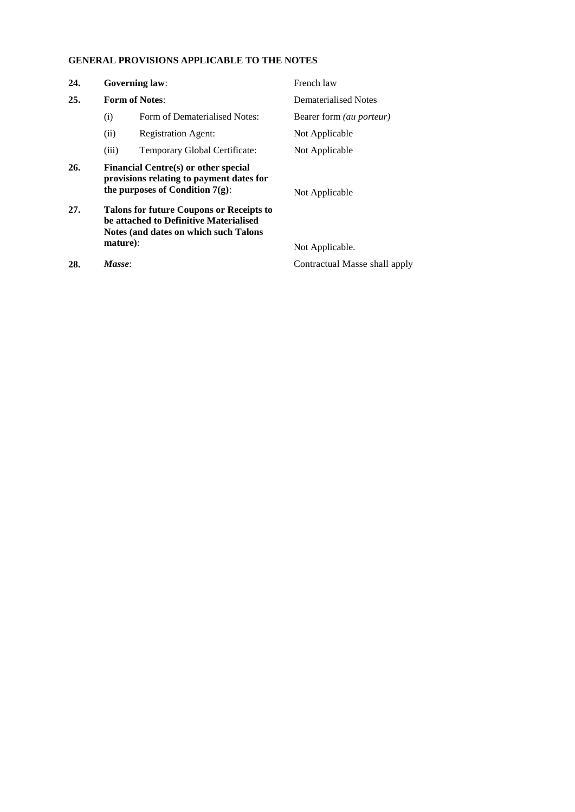# **GENERAL PROVISIONS APPLICABLE TO THE NOTES**

| 24. |          | <b>Governing law:</b>                                                                                                              | French law                      |
|-----|----------|------------------------------------------------------------------------------------------------------------------------------------|---------------------------------|
| 25. |          | <b>Form of Notes:</b>                                                                                                              | Dematerialised Notes            |
|     | (i)      | Form of Dematerialised Notes:                                                                                                      | Bearer form <i>(au porteur)</i> |
|     | (ii)     | <b>Registration Agent:</b>                                                                                                         | Not Applicable                  |
|     | (iii)    | Temporary Global Certificate:                                                                                                      | Not Applicable                  |
| 26. |          | Financial Centre(s) or other special<br>provisions relating to payment dates for<br>the purposes of Condition $7(g)$ :             | Not Applicable                  |
| 27. |          | <b>Talons for future Coupons or Receipts to</b><br>be attached to Definitive Materialised<br>Notes (and dates on which such Talons |                                 |
|     | mature): |                                                                                                                                    | Not Applicable.                 |
| 28. | Masse:   |                                                                                                                                    | Contractual Masse shall apply   |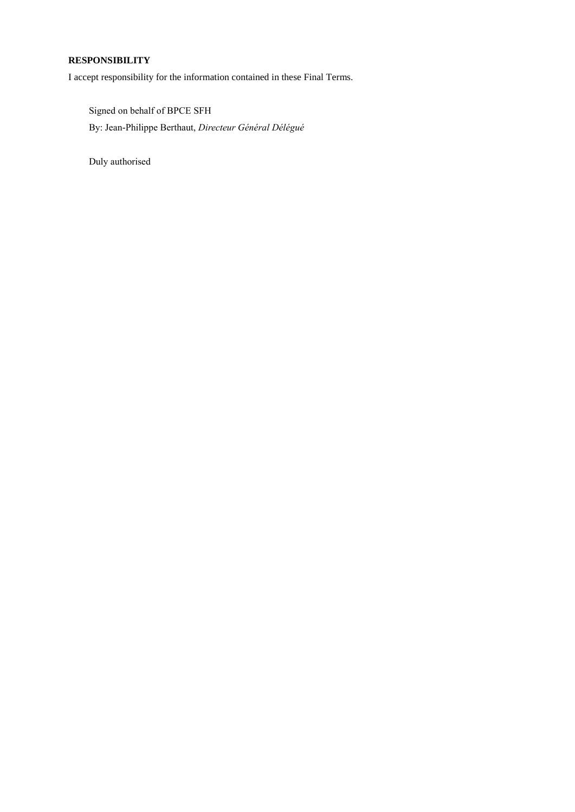## **RESPONSIBILITY**

I accept responsibility for the information contained in these Final Terms.

Signed on behalf of BPCE SFH By: Jean-Philippe Berthaut, *Directeur Général Délégué*

Duly authorised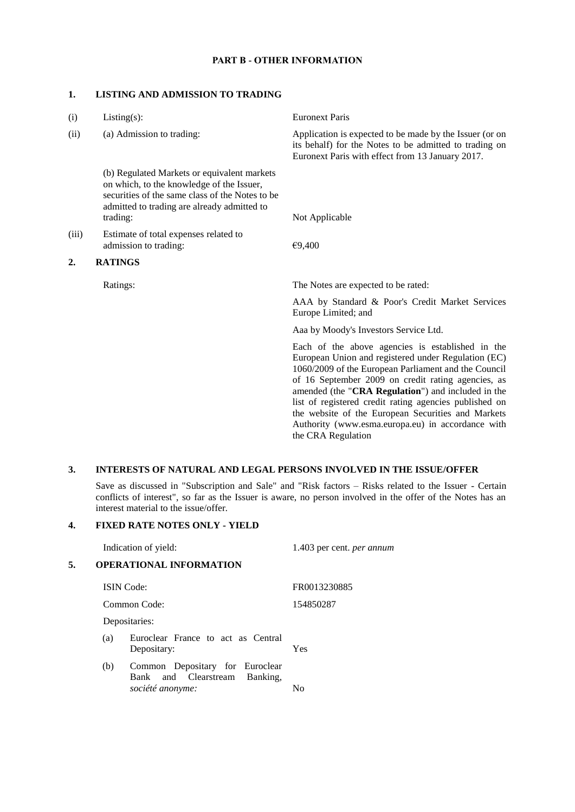### **PART B - OTHER INFORMATION**

### **1. LISTING AND ADMISSION TO TRADING**

| (i)   | $Listing(s)$ :                                                                                                                                                                                         | <b>Euronext Paris</b>                                                                                                                                                                                                                                                                                                                                                                                                                                                  |
|-------|--------------------------------------------------------------------------------------------------------------------------------------------------------------------------------------------------------|------------------------------------------------------------------------------------------------------------------------------------------------------------------------------------------------------------------------------------------------------------------------------------------------------------------------------------------------------------------------------------------------------------------------------------------------------------------------|
| (ii)  | (a) Admission to trading:                                                                                                                                                                              | Application is expected to be made by the Issuer (or on<br>its behalf) for the Notes to be admitted to trading on<br>Euronext Paris with effect from 13 January 2017.                                                                                                                                                                                                                                                                                                  |
|       | (b) Regulated Markets or equivalent markets<br>on which, to the knowledge of the Issuer,<br>securities of the same class of the Notes to be<br>admitted to trading are already admitted to<br>trading: | Not Applicable                                                                                                                                                                                                                                                                                                                                                                                                                                                         |
|       |                                                                                                                                                                                                        |                                                                                                                                                                                                                                                                                                                                                                                                                                                                        |
| (iii) | Estimate of total expenses related to<br>admission to trading:                                                                                                                                         | €9,400                                                                                                                                                                                                                                                                                                                                                                                                                                                                 |
| 2.    | <b>RATINGS</b>                                                                                                                                                                                         |                                                                                                                                                                                                                                                                                                                                                                                                                                                                        |
|       | Ratings:                                                                                                                                                                                               | The Notes are expected to be rated:                                                                                                                                                                                                                                                                                                                                                                                                                                    |
|       |                                                                                                                                                                                                        | AAA by Standard & Poor's Credit Market Services<br>Europe Limited; and                                                                                                                                                                                                                                                                                                                                                                                                 |
|       |                                                                                                                                                                                                        | Aaa by Moody's Investors Service Ltd.                                                                                                                                                                                                                                                                                                                                                                                                                                  |
|       |                                                                                                                                                                                                        | Each of the above agencies is established in the<br>European Union and registered under Regulation (EC)<br>1060/2009 of the European Parliament and the Council<br>of 16 September 2009 on credit rating agencies, as<br>amended (the "CRA Regulation") and included in the<br>list of registered credit rating agencies published on<br>the website of the European Securities and Markets<br>Authority (www.esma.europa.eu) in accordance with<br>the CRA Regulation |

### **3. INTERESTS OF NATURAL AND LEGAL PERSONS INVOLVED IN THE ISSUE/OFFER**

Save as discussed in "Subscription and Sale" and "Risk factors – Risks related to the Issuer - Certain conflicts of interest", so far as the Issuer is aware, no person involved in the offer of the Notes has an interest material to the issue/offer*.*

### **4. FIXED RATE NOTES ONLY - YIELD**

|    |               | Indication of yield:                                                                       | 1.403 per cent. <i>per annum</i> |
|----|---------------|--------------------------------------------------------------------------------------------|----------------------------------|
| 5. |               | <b>OPERATIONAL INFORMATION</b>                                                             |                                  |
|    |               | <b>ISIN</b> Code:                                                                          | FR0013230885                     |
|    | Common Code:  |                                                                                            | 154850287                        |
|    | Depositaries: |                                                                                            |                                  |
|    | (a)           | Euroclear France to act as Central<br>Depositary:                                          | Yes                              |
|    | (b)           | Common Depositary for Euroclear<br>and Clearstream<br>Banking,<br>Bank<br>société anonyme: | No                               |
|    |               |                                                                                            |                                  |